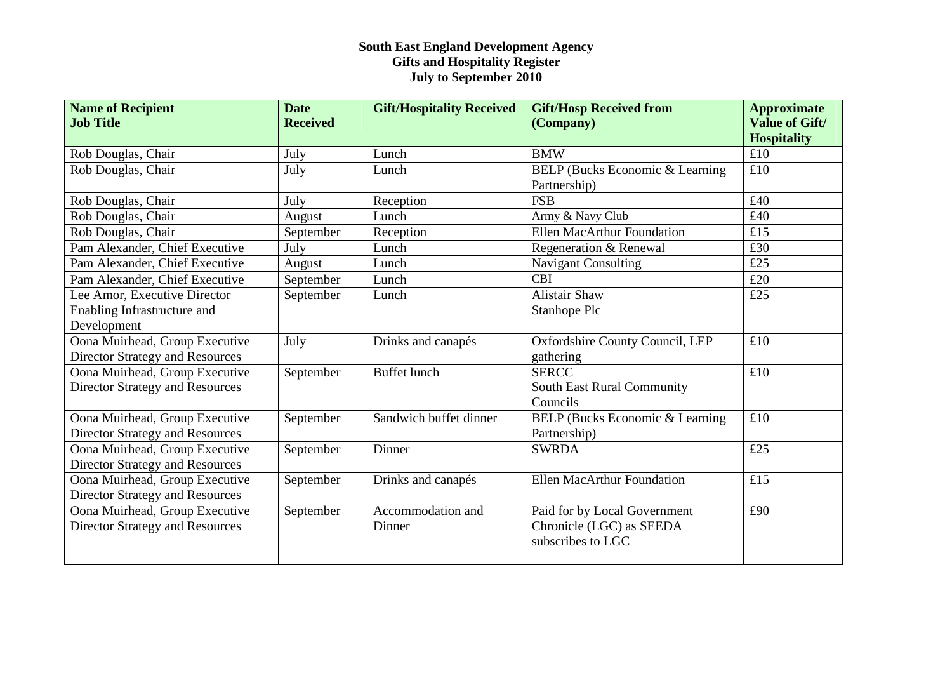| <b>Name of Recipient</b>               | <b>Date</b>     | <b>Gift/Hospitality Received</b> | <b>Gift/Hosp Received from</b>         | <b>Approximate</b>                          |
|----------------------------------------|-----------------|----------------------------------|----------------------------------------|---------------------------------------------|
| <b>Job Title</b>                       | <b>Received</b> |                                  | (Company)                              | <b>Value of Gift/</b><br><b>Hospitality</b> |
| Rob Douglas, Chair                     | July            | Lunch                            | <b>BMW</b>                             | £10                                         |
| Rob Douglas, Chair                     | July            | Lunch                            | <b>BELP</b> (Bucks Economic & Learning | £10                                         |
|                                        |                 |                                  | Partnership)                           |                                             |
| Rob Douglas, Chair                     | July            | Reception                        | <b>FSB</b>                             | £40                                         |
| Rob Douglas, Chair                     | August          | Lunch                            | Army & Navy Club                       | £40                                         |
| Rob Douglas, Chair                     | September       | Reception                        | <b>Ellen MacArthur Foundation</b>      | £15                                         |
| Pam Alexander, Chief Executive         | July            | Lunch                            | Regeneration & Renewal                 | £30                                         |
| Pam Alexander, Chief Executive         | August          | Lunch                            | <b>Navigant Consulting</b>             | £25                                         |
| Pam Alexander, Chief Executive         | September       | Lunch                            | <b>CBI</b>                             | £20                                         |
| Lee Amor, Executive Director           | September       | Lunch                            | <b>Alistair Shaw</b>                   | £25                                         |
| Enabling Infrastructure and            |                 |                                  | Stanhope Plc                           |                                             |
| Development                            |                 |                                  |                                        |                                             |
| Oona Muirhead, Group Executive         | July            | Drinks and canapés               | Oxfordshire County Council, LEP        | £10                                         |
| <b>Director Strategy and Resources</b> |                 |                                  | gathering                              |                                             |
| Oona Muirhead, Group Executive         | September       | <b>Buffet lunch</b>              | <b>SERCC</b>                           | £10                                         |
| <b>Director Strategy and Resources</b> |                 |                                  | South East Rural Community             |                                             |
|                                        |                 |                                  | Councils                               |                                             |
| Oona Muirhead, Group Executive         | September       | Sandwich buffet dinner           | BELP (Bucks Economic & Learning        | £10                                         |
| <b>Director Strategy and Resources</b> |                 |                                  | Partnership)                           |                                             |
| Oona Muirhead, Group Executive         | September       | Dinner                           | <b>SWRDA</b>                           | £25                                         |
| <b>Director Strategy and Resources</b> |                 |                                  |                                        |                                             |
| Oona Muirhead, Group Executive         | September       | Drinks and canapés               | <b>Ellen MacArthur Foundation</b>      | £15                                         |
| <b>Director Strategy and Resources</b> |                 |                                  |                                        |                                             |
| Oona Muirhead, Group Executive         | September       | Accommodation and                | Paid for by Local Government           | £90                                         |
| <b>Director Strategy and Resources</b> |                 | Dinner                           | Chronicle (LGC) as SEEDA               |                                             |
|                                        |                 |                                  | subscribes to LGC                      |                                             |
|                                        |                 |                                  |                                        |                                             |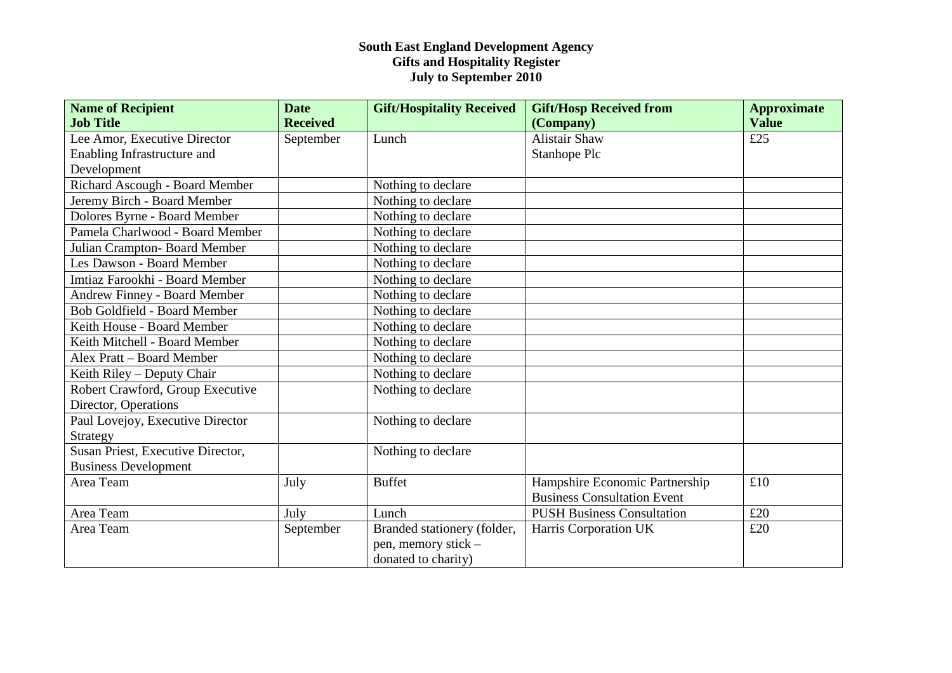| <b>Name of Recipient</b>            | <b>Date</b>     | <b>Gift/Hospitality Received</b> | <b>Gift/Hosp Received from</b>     | <b>Approximate</b> |
|-------------------------------------|-----------------|----------------------------------|------------------------------------|--------------------|
| <b>Job Title</b>                    | <b>Received</b> |                                  | (Company)                          | <b>Value</b>       |
| Lee Amor, Executive Director        | September       | Lunch                            | <b>Alistair Shaw</b>               | £25                |
| Enabling Infrastructure and         |                 |                                  | Stanhope Plc                       |                    |
| Development                         |                 |                                  |                                    |                    |
| Richard Ascough - Board Member      |                 | Nothing to declare               |                                    |                    |
| Jeremy Birch - Board Member         |                 | Nothing to declare               |                                    |                    |
| Dolores Byrne - Board Member        |                 | Nothing to declare               |                                    |                    |
| Pamela Charlwood - Board Member     |                 | Nothing to declare               |                                    |                    |
| Julian Crampton-Board Member        |                 | Nothing to declare               |                                    |                    |
| Les Dawson - Board Member           |                 | Nothing to declare               |                                    |                    |
| Imtiaz Farookhi - Board Member      |                 | Nothing to declare               |                                    |                    |
| <b>Andrew Finney - Board Member</b> |                 | Nothing to declare               |                                    |                    |
| <b>Bob Goldfield - Board Member</b> |                 | Nothing to declare               |                                    |                    |
| Keith House - Board Member          |                 | Nothing to declare               |                                    |                    |
| Keith Mitchell - Board Member       |                 | Nothing to declare               |                                    |                    |
| Alex Pratt - Board Member           |                 | Nothing to declare               |                                    |                    |
| Keith Riley - Deputy Chair          |                 | Nothing to declare               |                                    |                    |
| Robert Crawford, Group Executive    |                 | Nothing to declare               |                                    |                    |
| Director, Operations                |                 |                                  |                                    |                    |
| Paul Lovejoy, Executive Director    |                 | Nothing to declare               |                                    |                    |
| Strategy                            |                 |                                  |                                    |                    |
| Susan Priest, Executive Director,   |                 | Nothing to declare               |                                    |                    |
| <b>Business Development</b>         |                 |                                  |                                    |                    |
| Area Team                           | July            | <b>Buffet</b>                    | Hampshire Economic Partnership     | £10                |
|                                     |                 |                                  | <b>Business Consultation Event</b> |                    |
| Area Team                           | July            | Lunch                            | <b>PUSH Business Consultation</b>  | £20                |
| Area Team                           | September       | Branded stationery (folder,      | Harris Corporation UK              | £20                |
|                                     |                 | pen, memory stick -              |                                    |                    |
|                                     |                 | donated to charity)              |                                    |                    |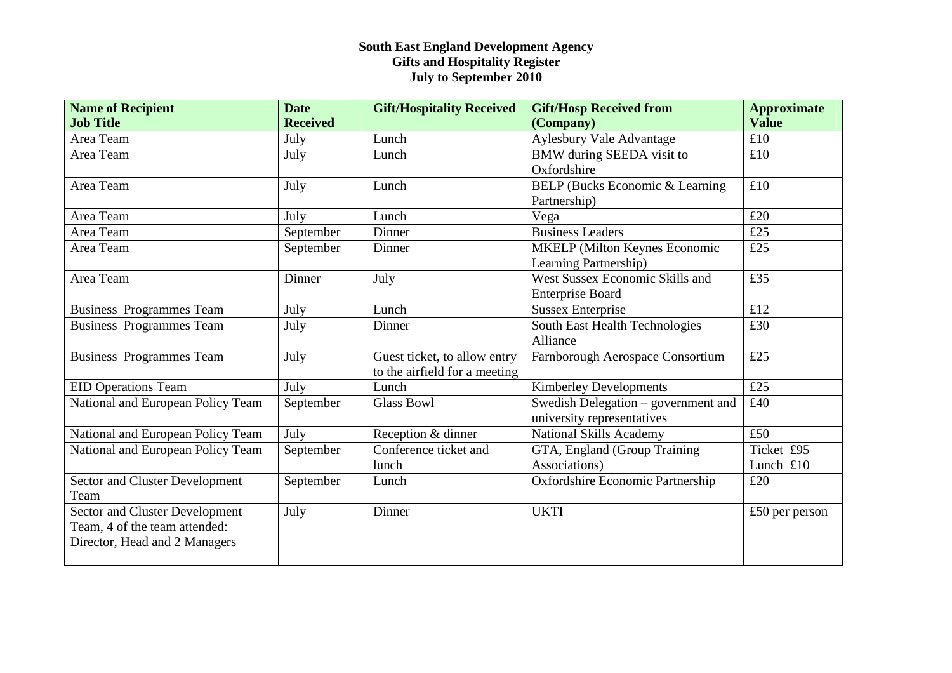| <b>Name of Recipient</b>              | <b>Date</b>     | <b>Gift/Hospitality Received</b> | <b>Gift/Hosp Received from</b>       | <b>Approximate</b> |
|---------------------------------------|-----------------|----------------------------------|--------------------------------------|--------------------|
| <b>Job Title</b>                      | <b>Received</b> |                                  | (Company)                            | <b>Value</b>       |
| Area Team                             | July            | Lunch                            | Aylesbury Vale Advantage             | £10                |
| Area Team                             | July            | Lunch                            | BMW during SEEDA visit to            | £10                |
|                                       |                 |                                  | Oxfordshire                          |                    |
| Area Team                             | July            | Lunch                            | BELP (Bucks Economic & Learning      | £10                |
|                                       |                 |                                  | Partnership)                         |                    |
| Area Team                             | July            | Lunch                            | Vega                                 | £20                |
| Area Team                             | September       | Dinner                           | <b>Business Leaders</b>              | £25                |
| Area Team                             | September       | Dinner                           | <b>MKELP</b> (Milton Keynes Economic | £25                |
|                                       |                 |                                  | Learning Partnership)                |                    |
| Area Team                             | Dinner          | July                             | West Sussex Economic Skills and      | £35                |
|                                       |                 |                                  | <b>Enterprise Board</b>              |                    |
| <b>Business Programmes Team</b>       | July            | Lunch                            | <b>Sussex Enterprise</b>             | £12                |
| <b>Business Programmes Team</b>       | July            | Dinner                           | South East Health Technologies       | £30                |
|                                       |                 |                                  | Alliance                             |                    |
| <b>Business Programmes Team</b>       | July            | Guest ticket, to allow entry     | Farnborough Aerospace Consortium     | £25                |
|                                       |                 | to the airfield for a meeting    |                                      |                    |
| <b>EID Operations Team</b>            | July            | Lunch                            | <b>Kimberley Developments</b>        | £25                |
| National and European Policy Team     | September       | <b>Glass Bowl</b>                | Swedish Delegation - government and  | £40                |
|                                       |                 |                                  | university representatives           |                    |
| National and European Policy Team     | July            | Reception & dinner               | <b>National Skills Academy</b>       | £50                |
| National and European Policy Team     | September       | Conference ticket and            | GTA, England (Group Training         | Ticket £95         |
|                                       |                 | lunch                            | Associations)                        | Lunch £10          |
| <b>Sector and Cluster Development</b> | September       | Lunch                            | Oxfordshire Economic Partnership     | £20                |
| Team                                  |                 |                                  |                                      |                    |
| <b>Sector and Cluster Development</b> | July            | Dinner                           | <b>UKTI</b>                          | £50 per person     |
| Team, 4 of the team attended:         |                 |                                  |                                      |                    |
| Director, Head and 2 Managers         |                 |                                  |                                      |                    |
|                                       |                 |                                  |                                      |                    |